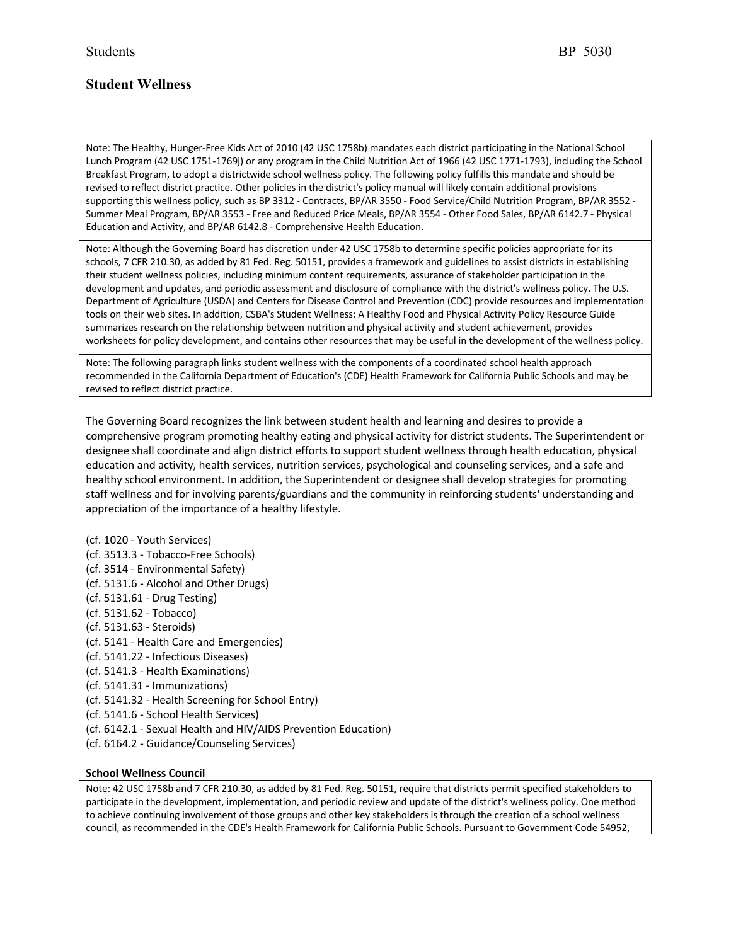Note: The Healthy, Hunger-Free Kids Act of 2010 (42 USC 1758b) mandates each district participating in the National School Lunch Program (42 USC 1751-1769j) or any program in the Child Nutrition Act of 1966 (42 USC 1771-1793), including the School Breakfast Program, to adopt a districtwide school wellness policy. The following policy fulfills this mandate and should be revised to reflect district practice. Other policies in the district's policy manual will likely contain additional provisions supporting this wellness policy, such as BP 3312 - Contracts, BP/AR 3550 - Food Service/Child Nutrition Program, BP/AR 3552 - Summer Meal Program, BP/AR 3553 - Free and Reduced Price Meals, BP/AR 3554 - Other Food Sales, BP/AR 6142.7 - Physical Education and Activity, and BP/AR 6142.8 - Comprehensive Health Education.

Note: Although the Governing Board has discretion under 42 USC 1758b to determine specific policies appropriate for its schools, 7 CFR 210.30, as added by 81 Fed. Reg. 50151, provides a framework and guidelines to assist districts in establishing their student wellness policies, including minimum content requirements, assurance of stakeholder participation in the development and updates, and periodic assessment and disclosure of compliance with the district's wellness policy. The U.S. Department of Agriculture (USDA) and Centers for Disease Control and Prevention (CDC) provide resources and implementation tools on their web sites. In addition, CSBA's Student Wellness: A Healthy Food and Physical Activity Policy Resource Guide summarizes research on the relationship between nutrition and physical activity and student achievement, provides worksheets for policy development, and contains other resources that may be useful in the development of the wellness policy.

Note: The following paragraph links student wellness with the components of a coordinated school health approach recommended in the California Department of Education's (CDE) Health Framework for California Public Schools and may be revised to reflect district practice.

The Governing Board recognizes the link between student health and learning and desires to provide a comprehensive program promoting healthy eating and physical activity for district students. The Superintendent or designee shall coordinate and align district efforts to support student wellness through health education, physical education and activity, health services, nutrition services, psychological and counseling services, and a safe and healthy school environment. In addition, the Superintendent or designee shall develop strategies for promoting staff wellness and for involving parents/guardians and the community in reinforcing students' understanding and appreciation of the importance of a healthy lifestyle.

- (cf. 1020 Youth Services) (cf. 3513.3 - Tobacco-Free Schools) (cf. 3514 - Environmental Safety) (cf. 5131.6 - Alcohol and Other Drugs) (cf. 5131.61 - Drug Testing) (cf. 5131.62 - Tobacco) (cf. 5131.63 - Steroids) (cf. 5141 - Health Care and Emergencies) (cf. 5141.22 - Infectious Diseases) (cf. 5141.3 - Health Examinations) (cf. 5141.31 - Immunizations) (cf. 5141.32 - Health Screening for School Entry) (cf. 5141.6 - School Health Services) (cf. 6142.1 - Sexual Health and HIV/AIDS Prevention Education)
- (cf. 6164.2 Guidance/Counseling Services)

## **School Wellness Council**

Note: 42 USC 1758b and 7 CFR 210.30, as added by 81 Fed. Reg. 50151, require that districts permit specified stakeholders to participate in the development, implementation, and periodic review and update of the district's wellness policy. One method to achieve continuing involvement of those groups and other key stakeholders is through the creation of a school wellness council, as recommended in the CDE's Health Framework for California Public Schools. Pursuant to Government Code 54952,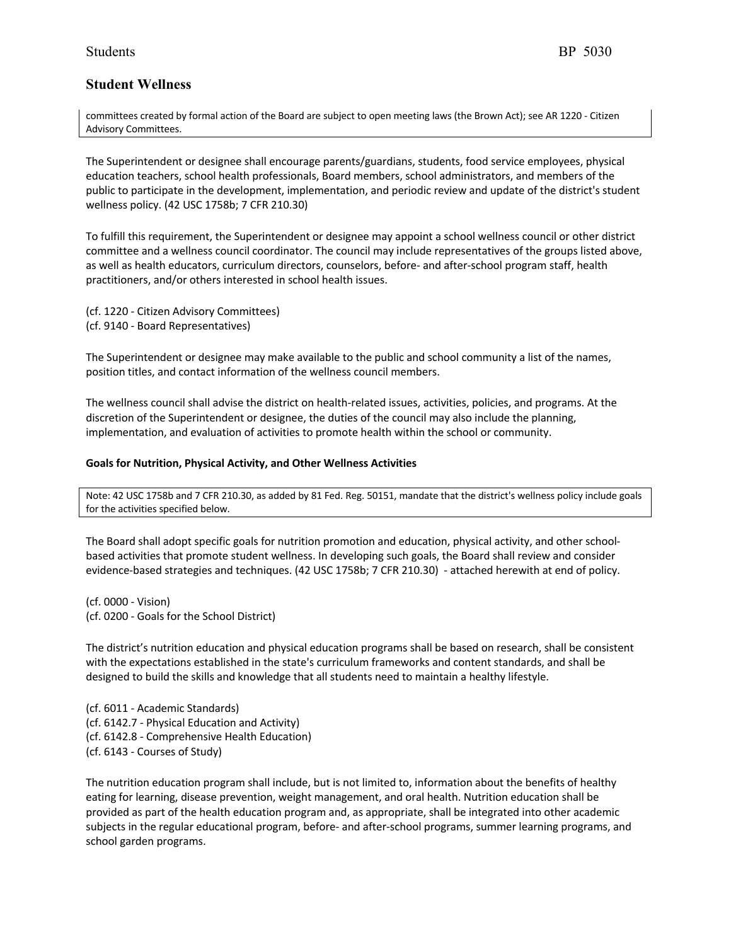committees created by formal action of the Board are subject to open meeting laws (the Brown Act); see AR 1220 - Citizen Advisory Committees.

The Superintendent or designee shall encourage parents/guardians, students, food service employees, physical education teachers, school health professionals, Board members, school administrators, and members of the public to participate in the development, implementation, and periodic review and update of the district's student wellness policy. (42 USC 1758b; 7 CFR 210.30)

To fulfill this requirement, the Superintendent or designee may appoint a school wellness council or other district committee and a wellness council coordinator. The council may include representatives of the groups listed above, as well as health educators, curriculum directors, counselors, before- and after-school program staff, health practitioners, and/or others interested in school health issues.

(cf. 1220 - Citizen Advisory Committees) (cf. 9140 - Board Representatives)

The Superintendent or designee may make available to the public and school community a list of the names, position titles, and contact information of the wellness council members.

The wellness council shall advise the district on health-related issues, activities, policies, and programs. At the discretion of the Superintendent or designee, the duties of the council may also include the planning, implementation, and evaluation of activities to promote health within the school or community.

## **Goals for Nutrition, Physical Activity, and Other Wellness Activities**

Note: 42 USC 1758b and 7 CFR 210.30, as added by 81 Fed. Reg. 50151, mandate that the district's wellness policy include goals for the activities specified below.

The Board shall adopt specific goals for nutrition promotion and education, physical activity, and other schoolbased activities that promote student wellness. In developing such goals, the Board shall review and consider evidence-based strategies and techniques. (42 USC 1758b; 7 CFR 210.30) - attached herewith at end of policy.

(cf. 0000 - Vision) (cf. 0200 - Goals for the School District)

The district's nutrition education and physical education programs shall be based on research, shall be consistent with the expectations established in the state's curriculum frameworks and content standards, and shall be designed to build the skills and knowledge that all students need to maintain a healthy lifestyle.

(cf. 6011 - Academic Standards) (cf. 6142.7 - Physical Education and Activity) (cf. 6142.8 - Comprehensive Health Education) (cf. 6143 - Courses of Study)

The nutrition education program shall include, but is not limited to, information about the benefits of healthy eating for learning, disease prevention, weight management, and oral health. Nutrition education shall be provided as part of the health education program and, as appropriate, shall be integrated into other academic subjects in the regular educational program, before- and after-school programs, summer learning programs, and school garden programs.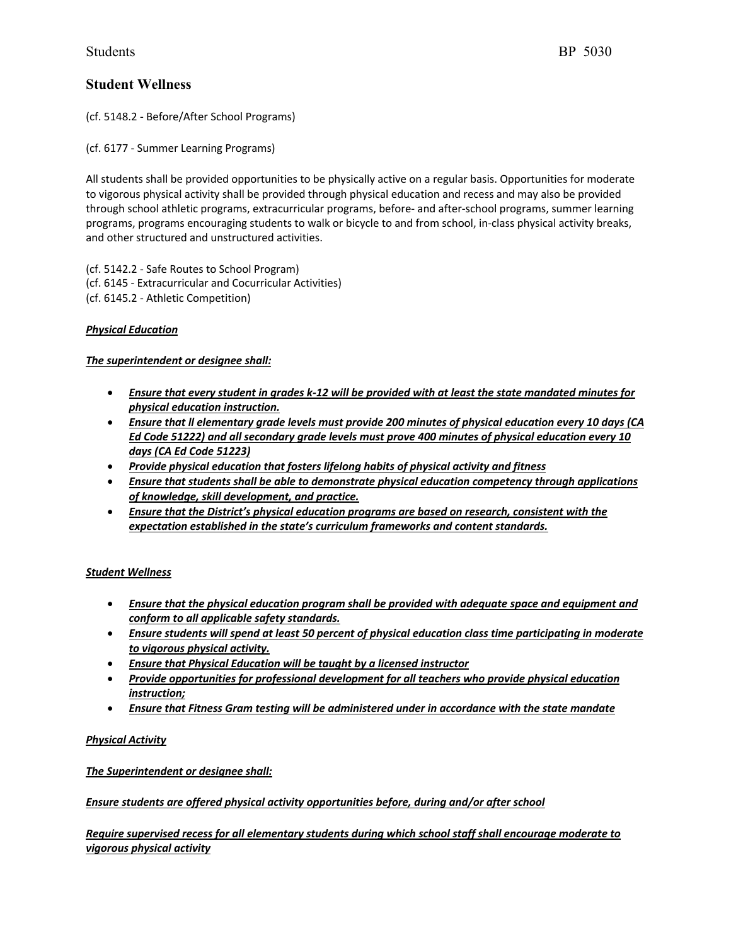(cf. 5148.2 - Before/After School Programs)

(cf. 6177 - Summer Learning Programs)

All students shall be provided opportunities to be physically active on a regular basis. Opportunities for moderate to vigorous physical activity shall be provided through physical education and recess and may also be provided through school athletic programs, extracurricular programs, before- and after-school programs, summer learning programs, programs encouraging students to walk or bicycle to and from school, in-class physical activity breaks, and other structured and unstructured activities.

(cf. 5142.2 - Safe Routes to School Program) (cf. 6145 - Extracurricular and Cocurricular Activities) (cf. 6145.2 - Athletic Competition)

## *Physical Education*

## *The superintendent or designee shall:*

- *Ensure that every student in grades k-12 will be provided with at least the state mandated minutes for physical education instruction.*
- *Ensure that ll elementary grade levels must provide 200 minutes of physical education every 10 days (CA Ed Code 51222) and all secondary grade levels must prove 400 minutes of physical education every 10 days (CA Ed Code 51223)*
- *Provide physical education that fosters lifelong habits of physical activity and fitness*
- *Ensure that students shall be able to demonstrate physical education competency through applications of knowledge, skill development, and practice.*
- *Ensure that the District's physical education programs are based on research, consistent with the expectation established in the state's curriculum frameworks and content standards.*

## *Student Wellness*

- *Ensure that the physical education program shall be provided with adequate space and equipment and conform to all applicable safety standards.*
- *Ensure students will spend at least 50 percent of physical education class time participating in moderate to vigorous physical activity.*
- *Ensure that Physical Education will be taught by a licensed instructor*
- *Provide opportunities for professional development for all teachers who provide physical education instruction;*
- *Ensure that Fitness Gram testing will be administered under in accordance with the state mandate*

## *Physical Activity*

*The Superintendent or designee shall:*

## *Ensure students are offered physical activity opportunities before, during and/or after school*

*Require supervised recess for all elementary students during which school staff shall encourage moderate to vigorous physical activity*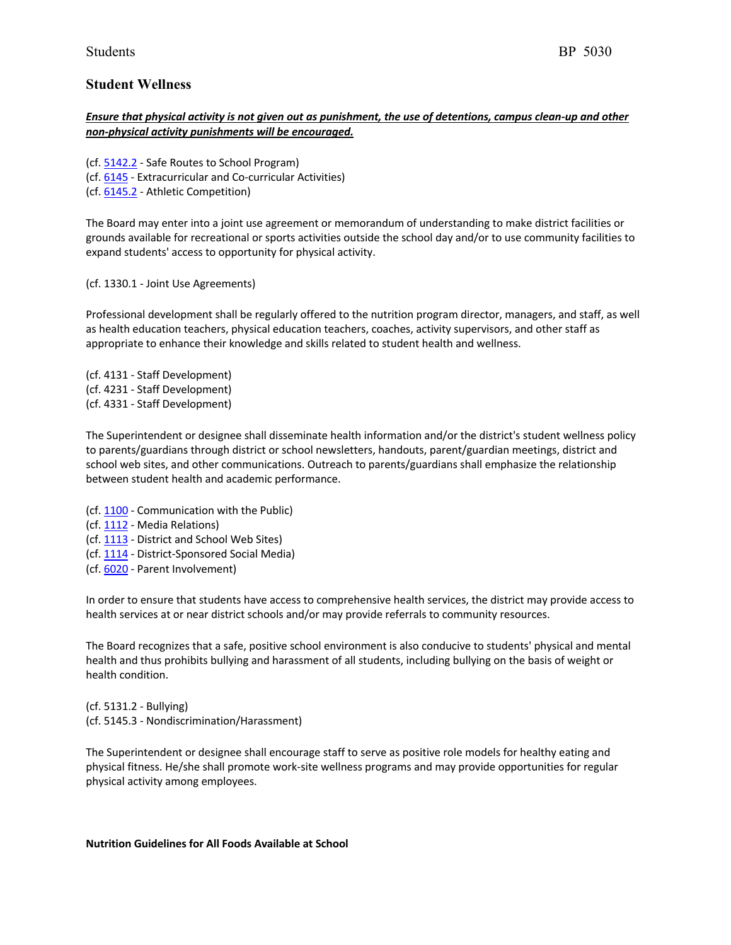## *Ensure that physical activity is not given out as punishment, the use of detentions, campus clean-up and other non-physical activity punishments will be encouraged.*

- (cf. 5142.2 Safe Routes to School Program) (cf. 6145 - Extracurricular and Co-curricular Activities)
- (cf. 6145.2 Athletic Competition)

The Board may enter into a joint use agreement or memorandum of understanding to make district facilities or grounds available for recreational or sports activities outside the school day and/or to use community facilities to expand students' access to opportunity for physical activity.

(cf. 1330.1 - Joint Use Agreements)

Professional development shall be regularly offered to the nutrition program director, managers, and staff, as well as health education teachers, physical education teachers, coaches, activity supervisors, and other staff as appropriate to enhance their knowledge and skills related to student health and wellness.

(cf. 4131 - Staff Development) (cf. 4231 - Staff Development) (cf. 4331 - Staff Development)

The Superintendent or designee shall disseminate health information and/or the district's student wellness policy to parents/guardians through district or school newsletters, handouts, parent/guardian meetings, district and school web sites, and other communications. Outreach to parents/guardians shall emphasize the relationship between student health and academic performance.

- (cf. 1100 Communication with the Public)
- (cf. 1112 Media Relations)
- (cf. 1113 District and School Web Sites)
- (cf. 1114 District-Sponsored Social Media)
- (cf. 6020 Parent Involvement)

In order to ensure that students have access to comprehensive health services, the district may provide access to health services at or near district schools and/or may provide referrals to community resources.

The Board recognizes that a safe, positive school environment is also conducive to students' physical and mental health and thus prohibits bullying and harassment of all students, including bullying on the basis of weight or health condition.

(cf. 5131.2 - Bullying) (cf. 5145.3 - Nondiscrimination/Harassment)

The Superintendent or designee shall encourage staff to serve as positive role models for healthy eating and physical fitness. He/she shall promote work-site wellness programs and may provide opportunities for regular physical activity among employees.

## **Nutrition Guidelines for All Foods Available at School**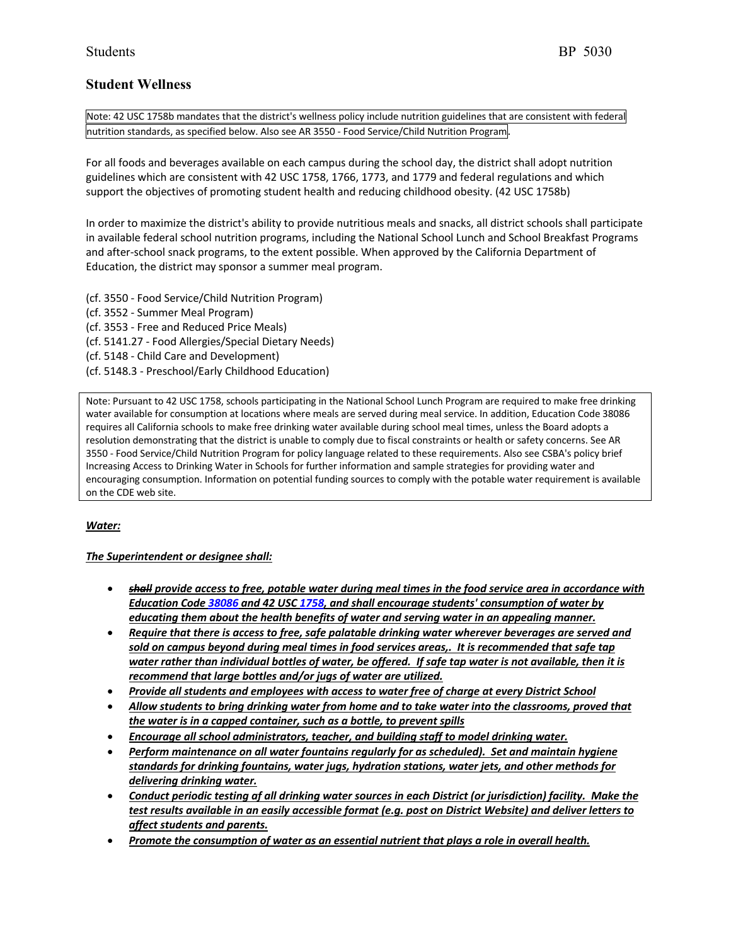Note: 42 USC 1758b mandates that the district's wellness policy include nutrition guidelines that are consistent with federal nutrition standards, as specified below. Also see AR 3550 - Food Service/Child Nutrition Program.

For all foods and beverages available on each campus during the school day, the district shall adopt nutrition guidelines which are consistent with 42 USC 1758, 1766, 1773, and 1779 and federal regulations and which support the objectives of promoting student health and reducing childhood obesity. (42 USC 1758b)

In order to maximize the district's ability to provide nutritious meals and snacks, all district schools shall participate in available federal school nutrition programs, including the National School Lunch and School Breakfast Programs and after-school snack programs, to the extent possible. When approved by the California Department of Education, the district may sponsor a summer meal program.

(cf. 3550 - Food Service/Child Nutrition Program) (cf. 3552 - Summer Meal Program) (cf. 3553 - Free and Reduced Price Meals) (cf. 5141.27 - Food Allergies/Special Dietary Needs) (cf. 5148 - Child Care and Development) (cf. 5148.3 - Preschool/Early Childhood Education)

Note: Pursuant to 42 USC 1758, schools participating in the National School Lunch Program are required to make free drinking water available for consumption at locations where meals are served during meal service. In addition, Education Code 38086 requires all California schools to make free drinking water available during school meal times, unless the Board adopts a resolution demonstrating that the district is unable to comply due to fiscal constraints or health or safety concerns. See AR 3550 - Food Service/Child Nutrition Program for policy language related to these requirements. Also see CSBA's policy brief Increasing Access to Drinking Water in Schools for further information and sample strategies for providing water and encouraging consumption. Information on potential funding sources to comply with the potable water requirement is available on the CDE web site.

## *Water:*

## *The Superintendent or designee shall:*

- *shall provide access to free, potable water during meal times in the food service area in accordance with Education Code 38086 and 42 USC 1758, and shall encourage students' consumption of water by educating them about the health benefits of water and serving water in an appealing manner.*
- *Require that there is access to free, safe palatable drinking water wherever beverages are served and sold on campus beyond during meal times in food services areas,. It is recommended that safe tap water rather than individual bottles of water, be offered. If safe tap water is not available, then it is recommend that large bottles and/or jugs of water are utilized.*
- *Provide all students and employees with access to water free of charge at every District School*
- *Allow students to bring drinking water from home and to take water into the classrooms, proved that the water is in a capped container, such as a bottle, to prevent spills*
- *Encourage all school administrators, teacher, and building staff to model drinking water.*
- *Perform maintenance on all water fountains regularly for as scheduled). Set and maintain hygiene standards for drinking fountains, water jugs, hydration stations, water jets, and other methods for delivering drinking water.*
- *Conduct periodic testing af all drinking water sources in each District (or jurisdiction) facility. Make the test results available in an easily accessible format (e.g. post on District Website) and deliver letters to affect students and parents.*
- *Promote the consumption of water as an essential nutrient that plays a role in overall health.*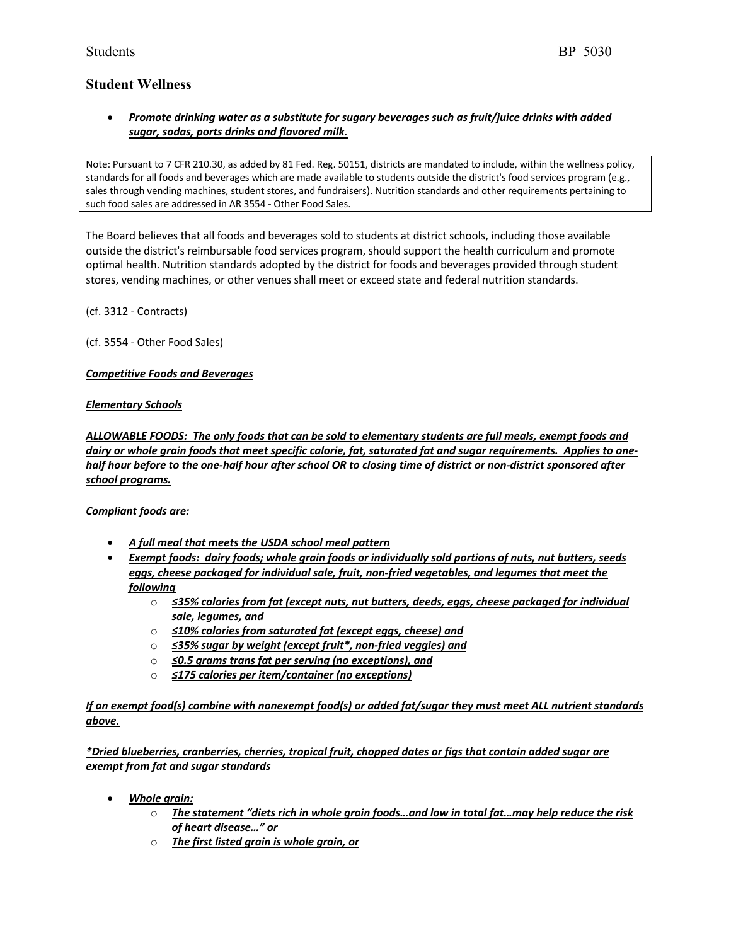## • *Promote drinking water as a substitute for sugary beverages such as fruit/juice drinks with added sugar, sodas, ports drinks and flavored milk.*

Note: Pursuant to 7 CFR 210.30, as added by 81 Fed. Reg. 50151, districts are mandated to include, within the wellness policy, standards for all foods and beverages which are made available to students outside the district's food services program (e.g., sales through vending machines, student stores, and fundraisers). Nutrition standards and other requirements pertaining to such food sales are addressed in AR 3554 - Other Food Sales.

The Board believes that all foods and beverages sold to students at district schools, including those available outside the district's reimbursable food services program, should support the health curriculum and promote optimal health. Nutrition standards adopted by the district for foods and beverages provided through student stores, vending machines, or other venues shall meet or exceed state and federal nutrition standards.

(cf. 3312 - Contracts)

(cf. 3554 - Other Food Sales)

## *Competitive Foods and Beverages*

## *Elementary Schools*

*ALLOWABLE FOODS: The only foods that can be sold to elementary students are full meals, exempt foods and dairy or whole grain foods that meet specific calorie, fat, saturated fat and sugar requirements. Applies to onehalf hour before to the one-half hour after school OR to closing time of district or non-district sponsored after school programs.*

## *Compliant foods are:*

- *A full meal that meets the USDA school meal pattern*
- *Exempt foods: dairy foods; whole grain foods or individually sold portions of nuts, nut butters, seeds eggs, cheese packaged for individual sale, fruit, non-fried vegetables, and legumes that meet the following*
	- o *≤35% calories from fat (except nuts, nut butters, deeds, eggs, cheese packaged for individual sale, legumes, and*
	- o *≤10% calories from saturated fat (except eggs, cheese) and*
	- o *≤35% sugar by weight (except fruit\*, non-fried veggies) and*
	- o *≤0.5 grams trans fat per serving (no exceptions), and*
	- o *≤175 calories per item/container (no exceptions)*

*If an exempt food(s) combine with nonexempt food(s) or added fat/sugar they must meet ALL nutrient standards above.*

*\*Dried blueberries, cranberries, cherries, tropical fruit, chopped dates or figs that contain added sugar are exempt from fat and sugar standards*

- *Whole grain:*
	- o *The statement "diets rich in whole grain foods…and low in total fat…may help reduce the risk of heart disease…" or*
	- o *The first listed grain is whole grain, or*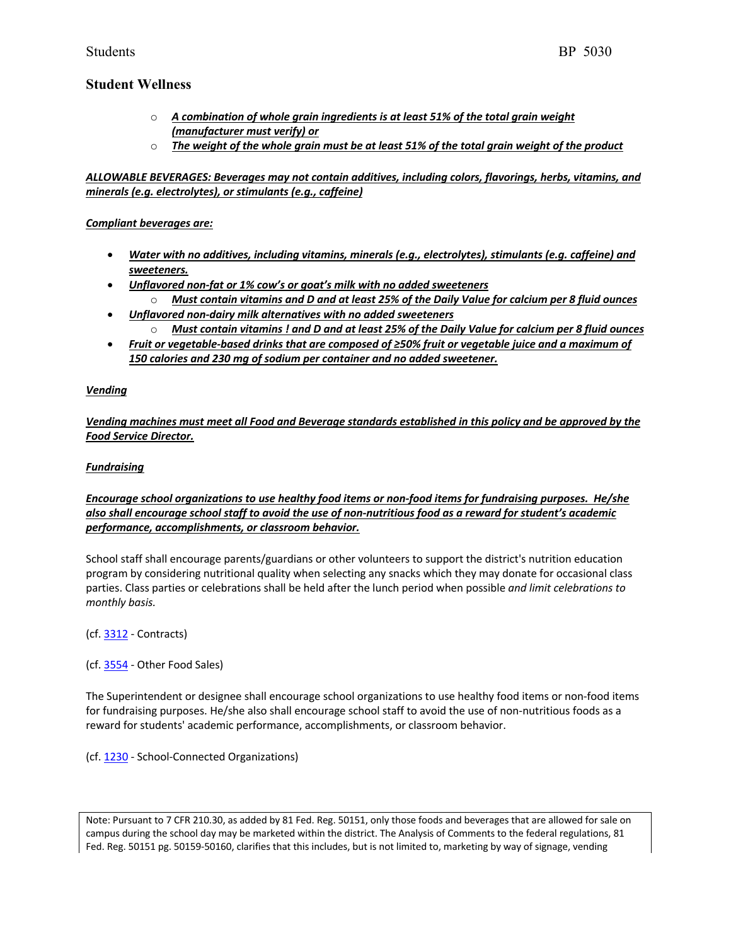- o *A combination of whole grain ingredients is at least 51% of the total grain weight (manufacturer must verify) or*
- o *The weight of the whole grain must be at least 51% of the total grain weight of the product*

*ALLOWABLE BEVERAGES: Beverages may not contain additives, including colors, flavorings, herbs, vitamins, and minerals (e.g. electrolytes), or stimulants (e.g., caffeine)*

## *Compliant beverages are:*

- *Water with no additives, including vitamins, minerals (e.g., electrolytes), stimulants (e.g. caffeine) and sweeteners.*
- *Unflavored non-fat or 1% cow's or goat's milk with no added sweeteners*
	- o *Must contain vitamins and D and at least 25% of the Daily Value for calcium per 8 fluid ounces* • *Unflavored non-dairy milk alternatives with no added sweeteners*
- o *Must contain vitamins ! and D and at least 25% of the Daily Value for calcium per 8 fluid ounces*
- *Fruit or vegetable-based drinks that are composed of ≥50% fruit or vegetable juice and a maximum of 150 calories and 230 mg of sodium per container and no added sweetener.*

## *Vending*

*Vending machines must meet all Food and Beverage standards established in this policy and be approved by the Food Service Director.*

## *Fundraising*

*Encourage school organizations to use healthy food items or non-food items for fundraising purposes. He/she also shall encourage school staff to avoid the use of non-nutritious food as a reward for student's academic performance, accomplishments, or classroom behavior.*

School staff shall encourage parents/guardians or other volunteers to support the district's nutrition education program by considering nutritional quality when selecting any snacks which they may donate for occasional class parties. Class parties or celebrations shall be held after the lunch period when possible *and limit celebrations to monthly basis.*

(cf. 3312 - Contracts)

(cf. 3554 - Other Food Sales)

The Superintendent or designee shall encourage school organizations to use healthy food items or non-food items for fundraising purposes. He/she also shall encourage school staff to avoid the use of non-nutritious foods as a reward for students' academic performance, accomplishments, or classroom behavior.

(cf. 1230 - School-Connected Organizations)

Note: Pursuant to 7 CFR 210.30, as added by 81 Fed. Reg. 50151, only those foods and beverages that are allowed for sale on campus during the school day may be marketed within the district. The Analysis of Comments to the federal regulations, 81 Fed. Reg. 50151 pg. 50159-50160, clarifies that this includes, but is not limited to, marketing by way of signage, vending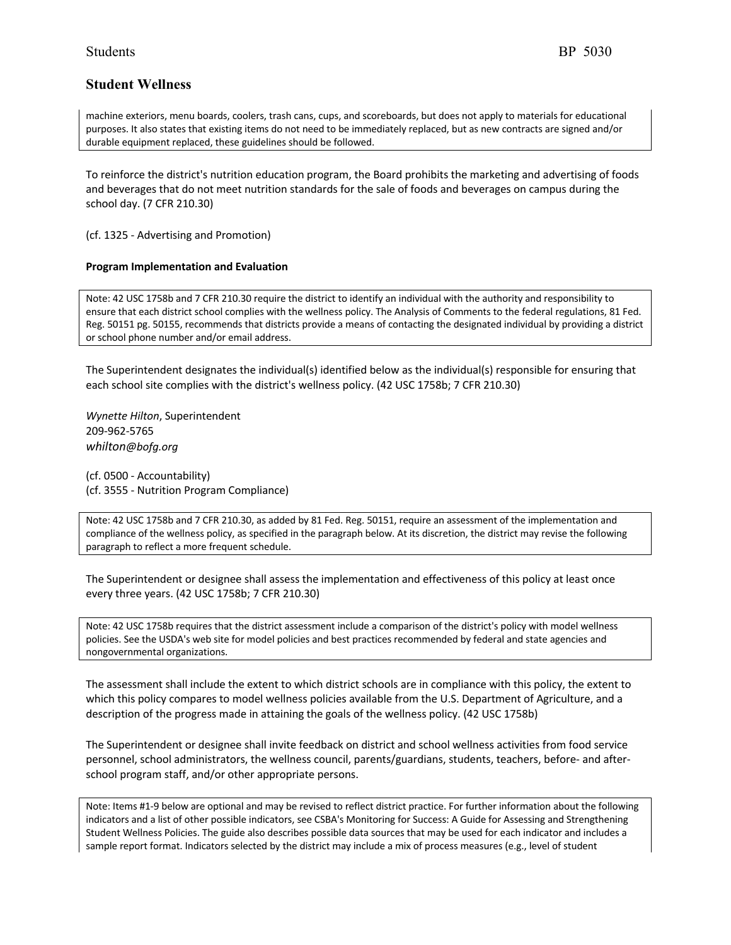machine exteriors, menu boards, coolers, trash cans, cups, and scoreboards, but does not apply to materials for educational purposes. It also states that existing items do not need to be immediately replaced, but as new contracts are signed and/or durable equipment replaced, these guidelines should be followed.

To reinforce the district's nutrition education program, the Board prohibits the marketing and advertising of foods and beverages that do not meet nutrition standards for the sale of foods and beverages on campus during the school day. (7 CFR 210.30)

(cf. 1325 - Advertising and Promotion)

#### **Program Implementation and Evaluation**

Note: 42 USC 1758b and 7 CFR 210.30 require the district to identify an individual with the authority and responsibility to ensure that each district school complies with the wellness policy. The Analysis of Comments to the federal regulations, 81 Fed. Reg. 50151 pg. 50155, recommends that districts provide a means of contacting the designated individual by providing a district or school phone number and/or email address.

The Superintendent designates the individual(s) identified below as the individual(s) responsible for ensuring that each school site complies with the district's wellness policy. (42 USC 1758b; 7 CFR 210.30)

*Wynette Hilton*, Superintendent 209-962-5765 *whilton@bofg.org*

(cf. 0500 - Accountability) (cf. 3555 - Nutrition Program Compliance)

Note: 42 USC 1758b and 7 CFR 210.30, as added by 81 Fed. Reg. 50151, require an assessment of the implementation and compliance of the wellness policy, as specified in the paragraph below. At its discretion, the district may revise the following paragraph to reflect a more frequent schedule.

The Superintendent or designee shall assess the implementation and effectiveness of this policy at least once every three years. (42 USC 1758b; 7 CFR 210.30)

Note: 42 USC 1758b requires that the district assessment include a comparison of the district's policy with model wellness policies. See the USDA's web site for model policies and best practices recommended by federal and state agencies and nongovernmental organizations.

The assessment shall include the extent to which district schools are in compliance with this policy, the extent to which this policy compares to model wellness policies available from the U.S. Department of Agriculture, and a description of the progress made in attaining the goals of the wellness policy. (42 USC 1758b)

The Superintendent or designee shall invite feedback on district and school wellness activities from food service personnel, school administrators, the wellness council, parents/guardians, students, teachers, before- and afterschool program staff, and/or other appropriate persons.

Note: Items #1-9 below are optional and may be revised to reflect district practice. For further information about the following indicators and a list of other possible indicators, see CSBA's Monitoring for Success: A Guide for Assessing and Strengthening Student Wellness Policies. The guide also describes possible data sources that may be used for each indicator and includes a sample report format. Indicators selected by the district may include a mix of process measures (e.g., level of student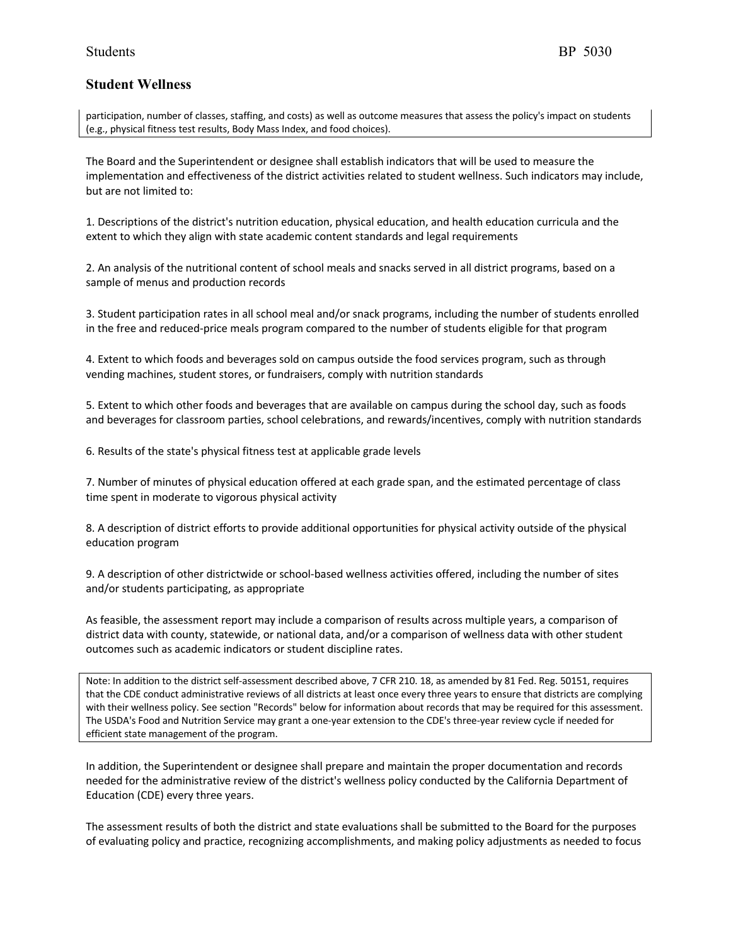participation, number of classes, staffing, and costs) as well as outcome measures that assess the policy's impact on students (e.g., physical fitness test results, Body Mass Index, and food choices).

The Board and the Superintendent or designee shall establish indicators that will be used to measure the implementation and effectiveness of the district activities related to student wellness. Such indicators may include, but are not limited to:

1. Descriptions of the district's nutrition education, physical education, and health education curricula and the extent to which they align with state academic content standards and legal requirements

2. An analysis of the nutritional content of school meals and snacks served in all district programs, based on a sample of menus and production records

3. Student participation rates in all school meal and/or snack programs, including the number of students enrolled in the free and reduced-price meals program compared to the number of students eligible for that program

4. Extent to which foods and beverages sold on campus outside the food services program, such as through vending machines, student stores, or fundraisers, comply with nutrition standards

5. Extent to which other foods and beverages that are available on campus during the school day, such as foods and beverages for classroom parties, school celebrations, and rewards/incentives, comply with nutrition standards

6. Results of the state's physical fitness test at applicable grade levels

7. Number of minutes of physical education offered at each grade span, and the estimated percentage of class time spent in moderate to vigorous physical activity

8. A description of district efforts to provide additional opportunities for physical activity outside of the physical education program

9. A description of other districtwide or school-based wellness activities offered, including the number of sites and/or students participating, as appropriate

As feasible, the assessment report may include a comparison of results across multiple years, a comparison of district data with county, statewide, or national data, and/or a comparison of wellness data with other student outcomes such as academic indicators or student discipline rates.

Note: In addition to the district self-assessment described above, 7 CFR 210. 18, as amended by 81 Fed. Reg. 50151, requires that the CDE conduct administrative reviews of all districts at least once every three years to ensure that districts are complying with their wellness policy. See section "Records" below for information about records that may be required for this assessment. The USDA's Food and Nutrition Service may grant a one-year extension to the CDE's three-year review cycle if needed for efficient state management of the program.

In addition, the Superintendent or designee shall prepare and maintain the proper documentation and records needed for the administrative review of the district's wellness policy conducted by the California Department of Education (CDE) every three years.

The assessment results of both the district and state evaluations shall be submitted to the Board for the purposes of evaluating policy and practice, recognizing accomplishments, and making policy adjustments as needed to focus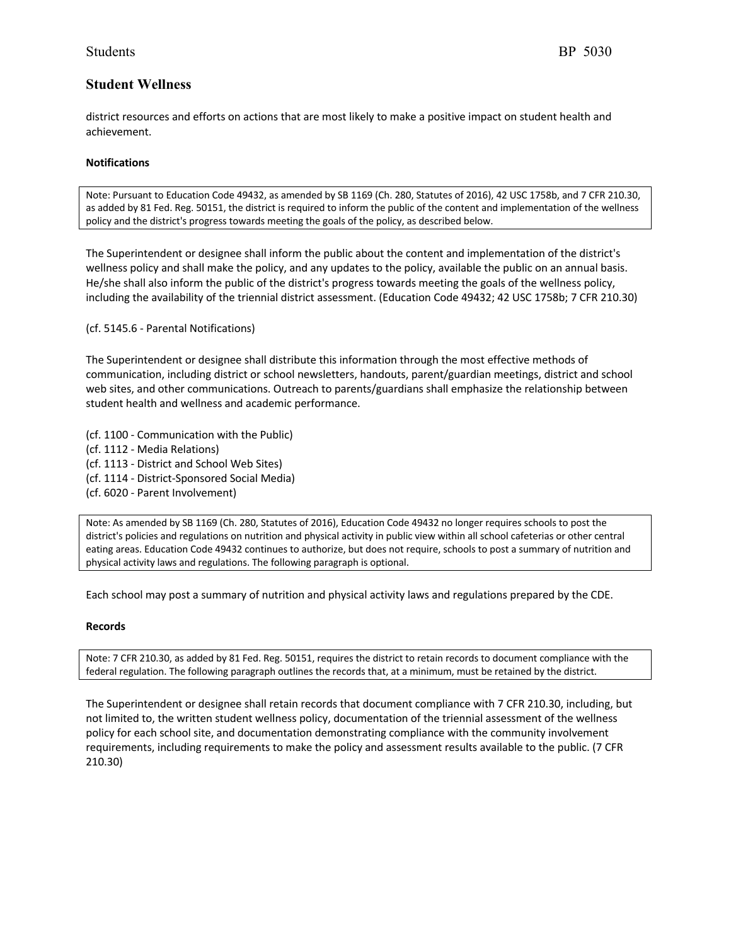district resources and efforts on actions that are most likely to make a positive impact on student health and achievement.

## **Notifications**

Note: Pursuant to Education Code 49432, as amended by SB 1169 (Ch. 280, Statutes of 2016), 42 USC 1758b, and 7 CFR 210.30, as added by 81 Fed. Reg. 50151, the district is required to inform the public of the content and implementation of the wellness policy and the district's progress towards meeting the goals of the policy, as described below.

The Superintendent or designee shall inform the public about the content and implementation of the district's wellness policy and shall make the policy, and any updates to the policy, available the public on an annual basis. He/she shall also inform the public of the district's progress towards meeting the goals of the wellness policy, including the availability of the triennial district assessment. (Education Code 49432; 42 USC 1758b; 7 CFR 210.30)

(cf. 5145.6 - Parental Notifications)

The Superintendent or designee shall distribute this information through the most effective methods of communication, including district or school newsletters, handouts, parent/guardian meetings, district and school web sites, and other communications. Outreach to parents/guardians shall emphasize the relationship between student health and wellness and academic performance.

- (cf. 1100 Communication with the Public)
- (cf. 1112 Media Relations)
- (cf. 1113 District and School Web Sites)
- (cf. 1114 District-Sponsored Social Media)
- (cf. 6020 Parent Involvement)

Note: As amended by SB 1169 (Ch. 280, Statutes of 2016), Education Code 49432 no longer requires schools to post the district's policies and regulations on nutrition and physical activity in public view within all school cafeterias or other central eating areas. Education Code 49432 continues to authorize, but does not require, schools to post a summary of nutrition and physical activity laws and regulations. The following paragraph is optional.

Each school may post a summary of nutrition and physical activity laws and regulations prepared by the CDE.

#### **Records**

Note: 7 CFR 210.30, as added by 81 Fed. Reg. 50151, requires the district to retain records to document compliance with the federal regulation. The following paragraph outlines the records that, at a minimum, must be retained by the district.

The Superintendent or designee shall retain records that document compliance with 7 CFR 210.30, including, but not limited to, the written student wellness policy, documentation of the triennial assessment of the wellness policy for each school site, and documentation demonstrating compliance with the community involvement requirements, including requirements to make the policy and assessment results available to the public. (7 CFR 210.30)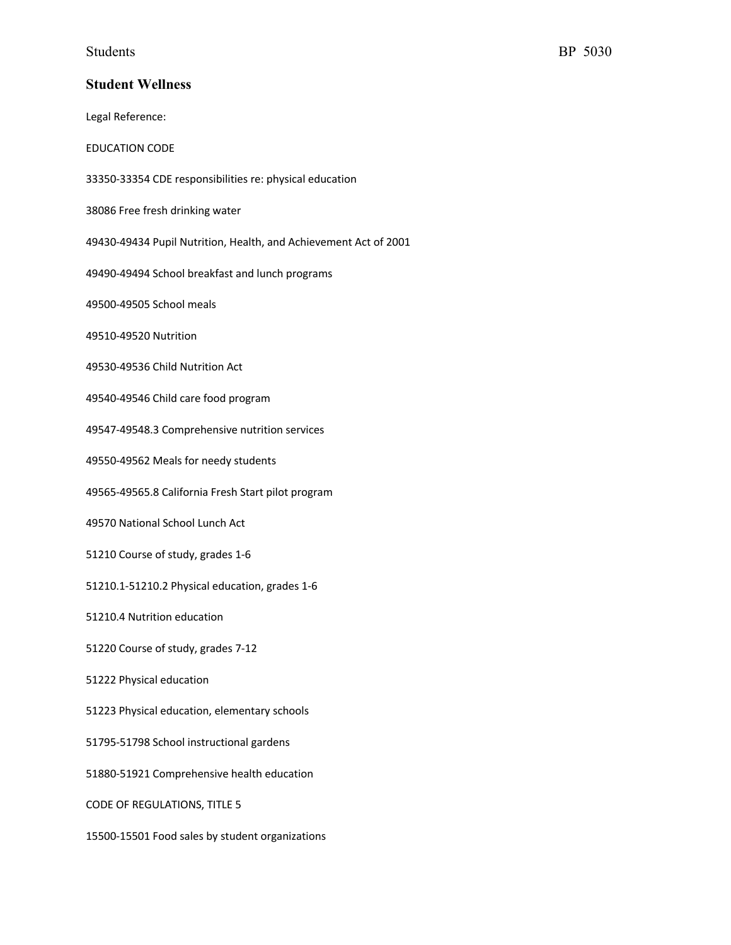Legal Reference: EDUCATION CODE 33350-33354 CDE responsibilities re: physical education 38086 Free fresh drinking water 49430-49434 Pupil Nutrition, Health, and Achievement Act of 2001 49490-49494 School breakfast and lunch programs 49500-49505 School meals 49510-49520 Nutrition 49530-49536 Child Nutrition Act 49540-49546 Child care food program 49547-49548.3 Comprehensive nutrition services 49550-49562 Meals for needy students 49565-49565.8 California Fresh Start pilot program 49570 National School Lunch Act 51210 Course of study, grades 1-6 51210.1-51210.2 Physical education, grades 1-6 51210.4 Nutrition education 51220 Course of study, grades 7-12 51222 Physical education 51223 Physical education, elementary schools 51795-51798 School instructional gardens 51880-51921 Comprehensive health education CODE OF REGULATIONS, TITLE 5 15500-15501 Food sales by student organizations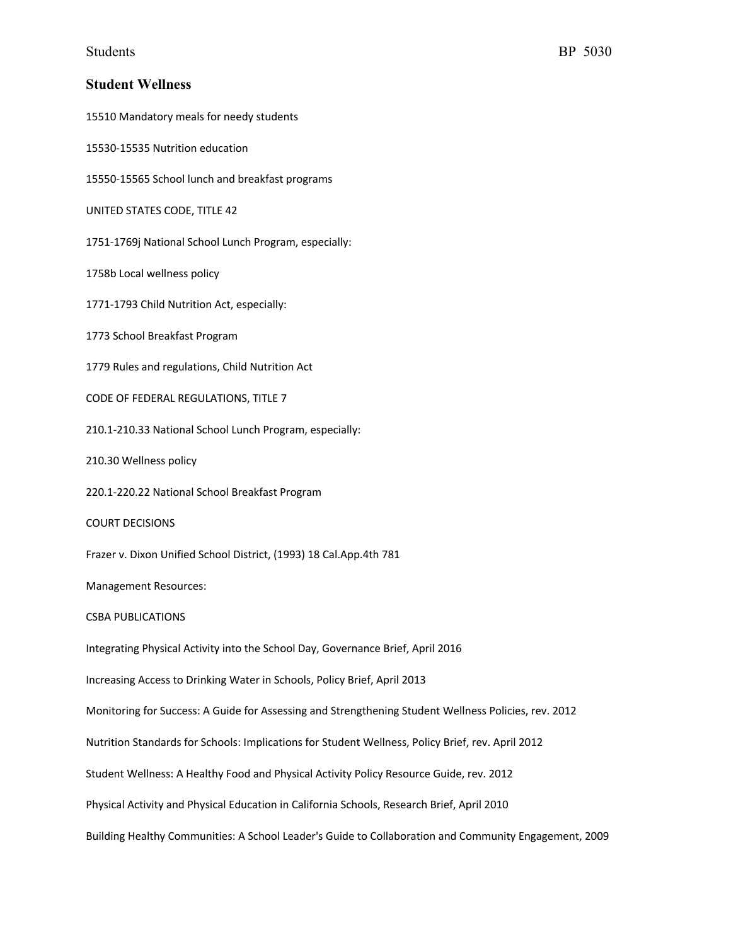15510 Mandatory meals for needy students

15530-15535 Nutrition education

15550-15565 School lunch and breakfast programs

UNITED STATES CODE, TITLE 42

1751-1769j National School Lunch Program, especially:

1758b Local wellness policy

1771-1793 Child Nutrition Act, especially:

1773 School Breakfast Program

1779 Rules and regulations, Child Nutrition Act

CODE OF FEDERAL REGULATIONS, TITLE 7

210.1-210.33 National School Lunch Program, especially:

210.30 Wellness policy

220.1-220.22 National School Breakfast Program

COURT DECISIONS

Frazer v. Dixon Unified School District, (1993) 18 Cal.App.4th 781

Management Resources:

#### CSBA PUBLICATIONS

Integrating Physical Activity into the School Day, Governance Brief, April 2016

Increasing Access to Drinking Water in Schools, Policy Brief, April 2013

Monitoring for Success: A Guide for Assessing and Strengthening Student Wellness Policies, rev. 2012

Nutrition Standards for Schools: Implications for Student Wellness, Policy Brief, rev. April 2012

Student Wellness: A Healthy Food and Physical Activity Policy Resource Guide, rev. 2012

Physical Activity and Physical Education in California Schools, Research Brief, April 2010

Building Healthy Communities: A School Leader's Guide to Collaboration and Community Engagement, 2009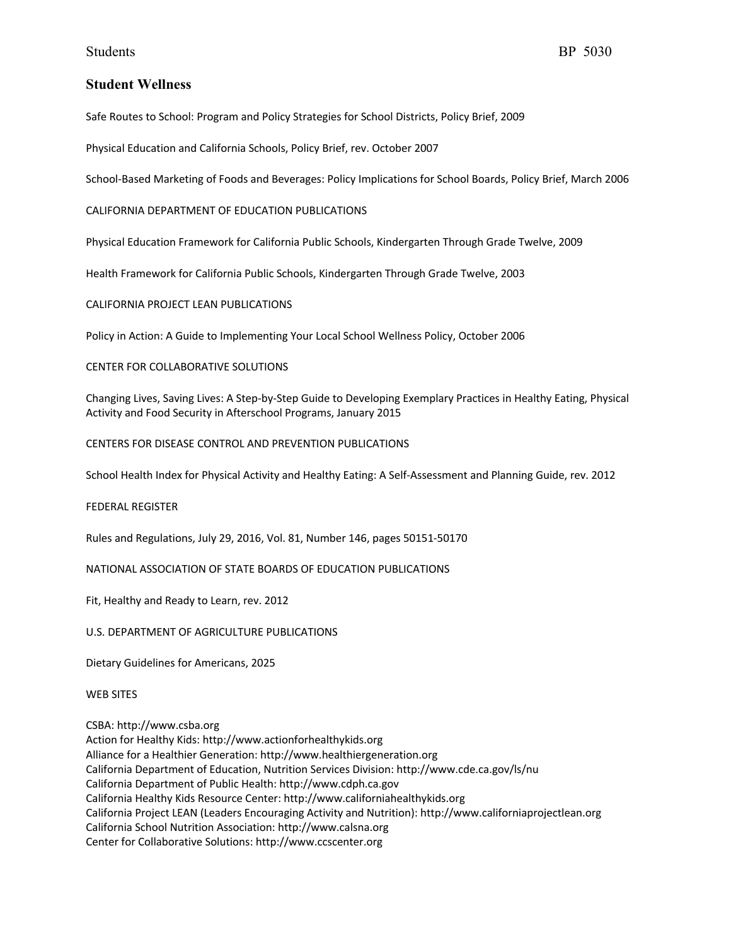Safe Routes to School: Program and Policy Strategies for School Districts, Policy Brief, 2009

Physical Education and California Schools, Policy Brief, rev. October 2007

School-Based Marketing of Foods and Beverages: Policy Implications for School Boards, Policy Brief, March 2006

CALIFORNIA DEPARTMENT OF EDUCATION PUBLICATIONS

Physical Education Framework for California Public Schools, Kindergarten Through Grade Twelve, 2009

Health Framework for California Public Schools, Kindergarten Through Grade Twelve, 2003

CALIFORNIA PROJECT LEAN PUBLICATIONS

Policy in Action: A Guide to Implementing Your Local School Wellness Policy, October 2006

## CENTER FOR COLLABORATIVE SOLUTIONS

Changing Lives, Saving Lives: A Step-by-Step Guide to Developing Exemplary Practices in Healthy Eating, Physical Activity and Food Security in Afterschool Programs, January 2015

CENTERS FOR DISEASE CONTROL AND PREVENTION PUBLICATIONS

School Health Index for Physical Activity and Healthy Eating: A Self-Assessment and Planning Guide, rev. 2012

#### FEDERAL REGISTER

Rules and Regulations, July 29, 2016, Vol. 81, Number 146, pages 50151-50170

NATIONAL ASSOCIATION OF STATE BOARDS OF EDUCATION PUBLICATIONS

Fit, Healthy and Ready to Learn, rev. 2012

U.S. DEPARTMENT OF AGRICULTURE PUBLICATIONS

Dietary Guidelines for Americans, 2025

WEB SITES

CSBA: http://www.csba.org Action for Healthy Kids: http://www.actionforhealthykids.org Alliance for a Healthier Generation: http://www.healthiergeneration.org California Department of Education, Nutrition Services Division: http://www.cde.ca.gov/ls/nu California Department of Public Health: http://www.cdph.ca.gov California Healthy Kids Resource Center: http://www.californiahealthykids.org California Project LEAN (Leaders Encouraging Activity and Nutrition): http://www.californiaprojectlean.org California School Nutrition Association: http://www.calsna.org Center for Collaborative Solutions: http://www.ccscenter.org